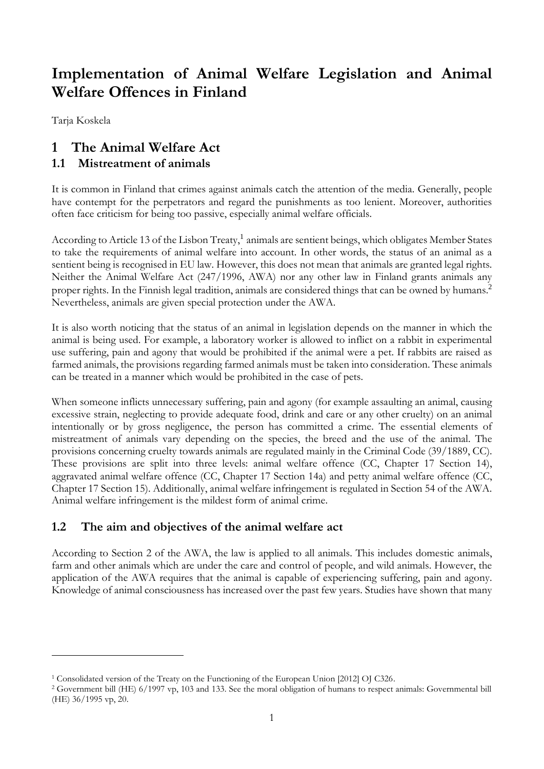# **Implementation of Animal Welfare Legislation and Animal Welfare Offences in Finland**

Tarja Koskela

<u>.</u>

# **1 The Animal Welfare Act**

### **1.1 Mistreatment of animals**

It is common in Finland that crimes against animals catch the attention of the media. Generally, people have contempt for the perpetrators and regard the punishments as too lenient. Moreover, authorities often face criticism for being too passive, especially animal welfare officials.

According to Article 13 of the Lisbon Treaty,<sup>1</sup> animals are sentient beings, which obligates Member States to take the requirements of animal welfare into account. In other words, the status of an animal as a sentient being is recognised in EU law. However, this does not mean that animals are granted legal rights. Neither the Animal Welfare Act (247/1996, AWA) nor any other law in Finland grants animals any proper rights. In the Finnish legal tradition, animals are considered things that can be owned by humans.<sup>2</sup> Nevertheless, animals are given special protection under the AWA.

It is also worth noticing that the status of an animal in legislation depends on the manner in which the animal is being used. For example, a laboratory worker is allowed to inflict on a rabbit in experimental use suffering, pain and agony that would be prohibited if the animal were a pet. If rabbits are raised as farmed animals, the provisions regarding farmed animals must be taken into consideration. These animals can be treated in a manner which would be prohibited in the case of pets.

When someone inflicts unnecessary suffering, pain and agony (for example assaulting an animal, causing excessive strain, neglecting to provide adequate food, drink and care or any other cruelty) on an animal intentionally or by gross negligence, the person has committed a crime. The essential elements of mistreatment of animals vary depending on the species, the breed and the use of the animal. The provisions concerning cruelty towards animals are regulated mainly in the Criminal Code (39/1889, CC). These provisions are split into three levels: animal welfare offence (CC, Chapter 17 Section 14), aggravated animal welfare offence (CC, Chapter 17 Section 14a) and petty animal welfare offence (CC, Chapter 17 Section 15). Additionally, animal welfare infringement is regulated in Section 54 of the AWA. Animal welfare infringement is the mildest form of animal crime.

# **1.2 The aim and objectives of the animal welfare act**

According to Section 2 of the AWA, the law is applied to all animals. This includes domestic animals, farm and other animals which are under the care and control of people, and wild animals. However, the application of the AWA requires that the animal is capable of experiencing suffering, pain and agony. Knowledge of animal consciousness has increased over the past few years. Studies have shown that many

<sup>1</sup> Consolidated version of the Treaty on the Functioning of the European Union [2012] OJ C326.

<sup>2</sup> Government bill (HE) 6/1997 vp, 103 and 133. See the moral obligation of humans to respect animals: Governmental bill (HE) 36/1995 vp, 20.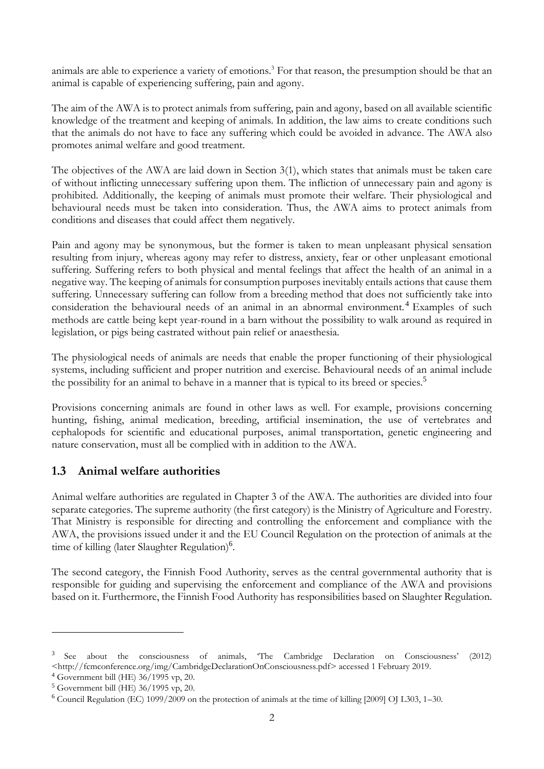animals are able to experience a variety of emotions.<sup>3</sup> For that reason, the presumption should be that an animal is capable of experiencing suffering, pain and agony.

The aim of the AWA is to protect animals from suffering, pain and agony, based on all available scientific knowledge of the treatment and keeping of animals. In addition, the law aims to create conditions such that the animals do not have to face any suffering which could be avoided in advance. The AWA also promotes animal welfare and good treatment.

The objectives of the AWA are laid down in Section 3(1), which states that animals must be taken care of without inflicting unnecessary suffering upon them. The infliction of unnecessary pain and agony is prohibited. Additionally, the keeping of animals must promote their welfare. Their physiological and behavioural needs must be taken into consideration. Thus, the AWA aims to protect animals from conditions and diseases that could affect them negatively.

Pain and agony may be synonymous, but the former is taken to mean unpleasant physical sensation resulting from injury, whereas agony may refer to distress, anxiety, fear or other unpleasant emotional suffering. Suffering refers to both physical and mental feelings that affect the health of an animal in a negative way. The keeping of animals for consumption purposes inevitably entails actions that cause them suffering. Unnecessary suffering can follow from a breeding method that does not sufficiently take into consideration the behavioural needs of an animal in an abnormal environment. <sup>4</sup> Examples of such methods are cattle being kept year-round in a barn without the possibility to walk around as required in legislation, or pigs being castrated without pain relief or anaesthesia.

The physiological needs of animals are needs that enable the proper functioning of their physiological systems, including sufficient and proper nutrition and exercise. Behavioural needs of an animal include the possibility for an animal to behave in a manner that is typical to its breed or species.<sup>5</sup>

Provisions concerning animals are found in other laws as well. For example, provisions concerning hunting, fishing, animal medication, breeding, artificial insemination, the use of vertebrates and cephalopods for scientific and educational purposes, animal transportation, genetic engineering and nature conservation, must all be complied with in addition to the AWA.

# **1.3 Animal welfare authorities**

Animal welfare authorities are regulated in Chapter 3 of the AWA. The authorities are divided into four separate categories. The supreme authority (the first category) is the Ministry of Agriculture and Forestry. That Ministry is responsible for directing and controlling the enforcement and compliance with the AWA, the provisions issued under it and the EU Council Regulation on the protection of animals at the time of killing (later Slaughter Regulation)<sup>6</sup>.

The second category, the Finnish Food Authority, serves as the central governmental authority that is responsible for guiding and supervising the enforcement and compliance of the AWA and provisions based on it. Furthermore, the Finnish Food Authority has responsibilities based on Slaughter Regulation.

<sup>3</sup> See about the consciousness of animals, 'The Cambridge Declaration on Consciousness' (2012) <http://fcmconference.org/img/CambridgeDeclarationOnConsciousness.pdf> accessed 1 February 2019.

<sup>4</sup> Government bill (HE) 36/1995 vp, 20.

<sup>5</sup> Government bill (HE) 36/1995 vp, 20.

<sup>6</sup> Council Regulation (EC) 1099/2009 on the protection of animals at the time of killing [2009] OJ L303, 1–30.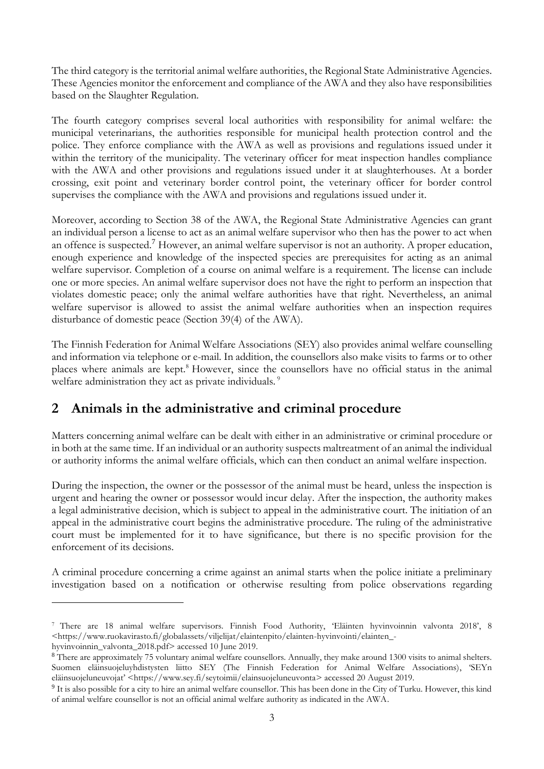The third category is the territorial animal welfare authorities, the Regional State Administrative Agencies. These Agencies monitor the enforcement and compliance of the AWA and they also have responsibilities based on the Slaughter Regulation.

The fourth category comprises several local authorities with responsibility for animal welfare: the municipal veterinarians, the authorities responsible for municipal health protection control and the police. They enforce compliance with the AWA as well as provisions and regulations issued under it within the territory of the municipality. The veterinary officer for meat inspection handles compliance with the AWA and other provisions and regulations issued under it at slaughterhouses. At a border crossing, exit point and veterinary border control point, the veterinary officer for border control supervises the compliance with the AWA and provisions and regulations issued under it.

<span id="page-2-0"></span>Moreover, according to Section 38 of the AWA, the Regional State Administrative Agencies can grant an individual person a license to act as an animal welfare supervisor who then has the power to act when an offence is suspected.<sup>7</sup> However, an animal welfare supervisor is not an authority. A proper education, enough experience and knowledge of the inspected species are prerequisites for acting as an animal welfare supervisor. Completion of a course on animal welfare is a requirement. The license can include one or more species. An animal welfare supervisor does not have the right to perform an inspection that violates domestic peace; only the animal welfare authorities have that right. Nevertheless, an animal welfare supervisor is allowed to assist the animal welfare authorities when an inspection requires disturbance of domestic peace (Section 39(4) of the AWA).

The Finnish Federation for Animal Welfare Associations (SEY) also provides animal welfare counselling and information via telephone or e-mail. In addition, the counsellors also make visits to farms or to other places where animals are kept.<sup>8</sup> However, since the counsellors have no official status in the animal welfare administration they act as private individuals.<sup>9</sup>

# **2 Animals in the administrative and criminal procedure**

Matters concerning animal welfare can be dealt with either in an administrative or criminal procedure or in both at the same time. If an individual or an authority suspects maltreatment of an animal the individual or authority informs the animal welfare officials, which can then conduct an animal welfare inspection.

During the inspection, the owner or the possessor of the animal must be heard, unless the inspection is urgent and hearing the owner or possessor would incur delay. After the inspection, the authority makes a legal administrative decision, which is subject to appeal in the administrative court. The initiation of an appeal in the administrative court begins the administrative procedure. The ruling of the administrative court must be implemented for it to have significance, but there is no specific provision for the enforcement of its decisions.

A criminal procedure concerning a crime against an animal starts when the police initiate a preliminary investigation based on a notification or otherwise resulting from police observations regarding

<u>.</u>

<sup>7</sup> There are 18 animal welfare supervisors. Finnish Food Authority, 'Eläinten hyvinvoinnin valvonta 2018', 8 <https://www.ruokavirasto.fi/globalassets/viljelijat/elaintenpito/elainten-hyvinvointi/elainten\_-

hyvinvoinnin\_valvonta\_2018.pdf> accessed 10 June 2019.

<sup>8</sup> There are approximately 75 voluntary animal welfare counsellors. Annually, they make around 1300 visits to animal shelters. Suomen eläinsuojeluyhdistysten liitto SEY (The Finnish Federation for Animal Welfare Associations), 'SEYn eläinsuojeluneuvojat' <https://www.sey.fi/seytoimii/elainsuojeluneuvonta> accessed 20 August 2019.

<sup>&</sup>lt;sup>9</sup> It is also possible for a city to hire an animal welfare counsellor. This has been done in the City of Turku. However, this kind of animal welfare counsellor is not an official animal welfare authority as indicated in the AWA.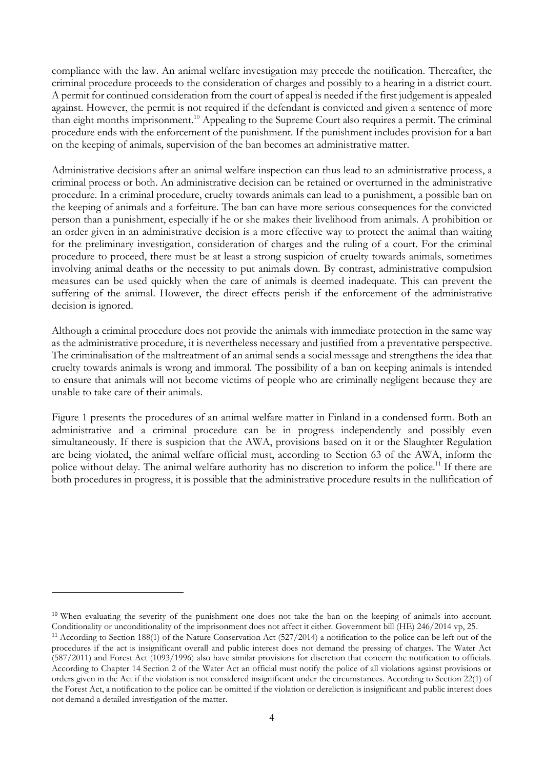compliance with the law. An animal welfare investigation may precede the notification. Thereafter, the criminal procedure proceeds to the consideration of charges and possibly to a hearing in a district court. A permit for continued consideration from the court of appeal is needed if the first judgement is appealed against. However, the permit is not required if the defendant is convicted and given a sentence of more than eight months imprisonment. <sup>10</sup> Appealing to the Supreme Court also requires a permit. The criminal procedure ends with the enforcement of the punishment. If the punishment includes provision for a ban on the keeping of animals, supervision of the ban becomes an administrative matter.

Administrative decisions after an animal welfare inspection can thus lead to an administrative process, a criminal process or both. An administrative decision can be retained or overturned in the administrative procedure. In a criminal procedure, cruelty towards animals can lead to a punishment, a possible ban on the keeping of animals and a forfeiture. The ban can have more serious consequences for the convicted person than a punishment, especially if he or she makes their livelihood from animals. A prohibition or an order given in an administrative decision is a more effective way to protect the animal than waiting for the preliminary investigation, consideration of charges and the ruling of a court. For the criminal procedure to proceed, there must be at least a strong suspicion of cruelty towards animals, sometimes involving animal deaths or the necessity to put animals down. By contrast, administrative compulsion measures can be used quickly when the care of animals is deemed inadequate. This can prevent the suffering of the animal. However, the direct effects perish if the enforcement of the administrative decision is ignored.

Although a criminal procedure does not provide the animals with immediate protection in the same way as the administrative procedure, it is nevertheless necessary and justified from a preventative perspective. The criminalisation of the maltreatment of an animal sends a social message and strengthens the idea that cruelty towards animals is wrong and immoral. The possibility of a ban on keeping animals is intended to ensure that animals will not become victims of people who are criminally negligent because they are unable to take care of their animals.

Figure 1 presents the procedures of an animal welfare matter in Finland in a condensed form. Both an administrative and a criminal procedure can be in progress independently and possibly even simultaneously. If there is suspicion that the AWA, provisions based on it or the Slaughter Regulation are being violated, the animal welfare official must, according to Section 63 of the AWA, inform the police without delay. The animal welfare authority has no discretion to inform the police.<sup>11</sup> If there are both procedures in progress, it is possible that the administrative procedure results in the nullification of

<sup>&</sup>lt;sup>10</sup> When evaluating the severity of the punishment one does not take the ban on the keeping of animals into account. Conditionality or unconditionality of the imprisonment does not affect it either. Government bill (HE) 246/2014 vp, 25.

<sup>&</sup>lt;sup>11</sup> According to Section 188(1) of the Nature Conservation Act (527/2014) a notification to the police can be left out of the procedures if the act is insignificant overall and public interest does not demand the pressing of charges. The Water Act (587/2011) and Forest Act (1093/1996) also have similar provisions for discretion that concern the notification to officials. According to Chapter 14 Section 2 of the Water Act an official must notify the police of all violations against provisions or orders given in the Act if the violation is not considered insignificant under the circumstances. According to Section 22(1) of the Forest Act, a notification to the police can be omitted if the violation or dereliction is insignificant and public interest does not demand a detailed investigation of the matter.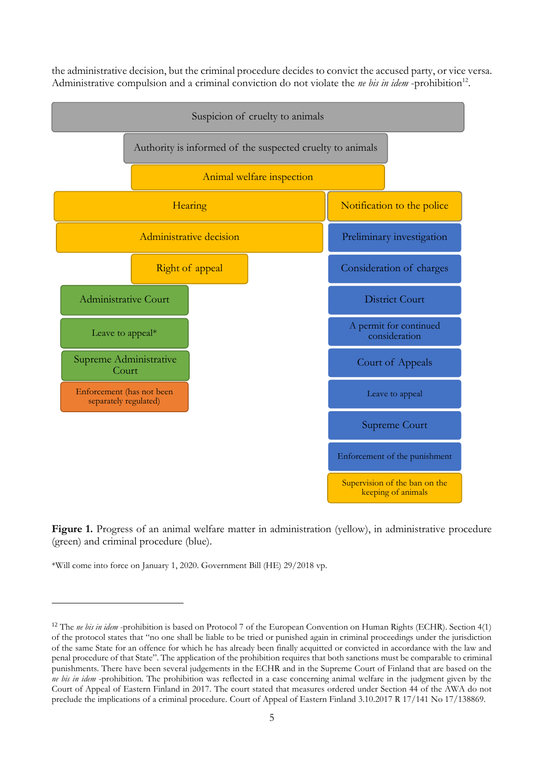<span id="page-4-0"></span>the administrative decision, but the criminal procedure decides to convict the accused party, or vice versa. Administrative compulsion and a criminal conviction do not violate the *ne bis in idem* -prohibition<sup>12</sup>.



Figure 1. Progress of an animal welfare matter in administration (yellow), in administrative procedure (green) and criminal procedure (blue).

\*Will come into force on January 1, 2020. Government Bill (HE) 29/2018 vp.

<u>.</u>

<sup>&</sup>lt;sup>12</sup> The *ne bis in idem* -prohibition is based on Protocol 7 of the European Convention on Human Rights (ECHR). Section 4(1) of the protocol states that "no one shall be liable to be tried or punished again in criminal proceedings under the jurisdiction of the same State for an offence for which he has already been finally acquitted or convicted in accordance with the law and penal procedure of that State". The application of the prohibition requires that both sanctions must be comparable to criminal punishments. There have been several judgements in the ECHR and in the Supreme Court of Finland that are based on the *ne bis in idem* -prohibition. The prohibition was reflected in a case concerning animal welfare in the judgment given by the Court of Appeal of Eastern Finland in 2017. The court stated that measures ordered under Section 44 of the AWA do not preclude the implications of a criminal procedure. Court of Appeal of Eastern Finland 3.10.2017 R 17/141 No 17/138869.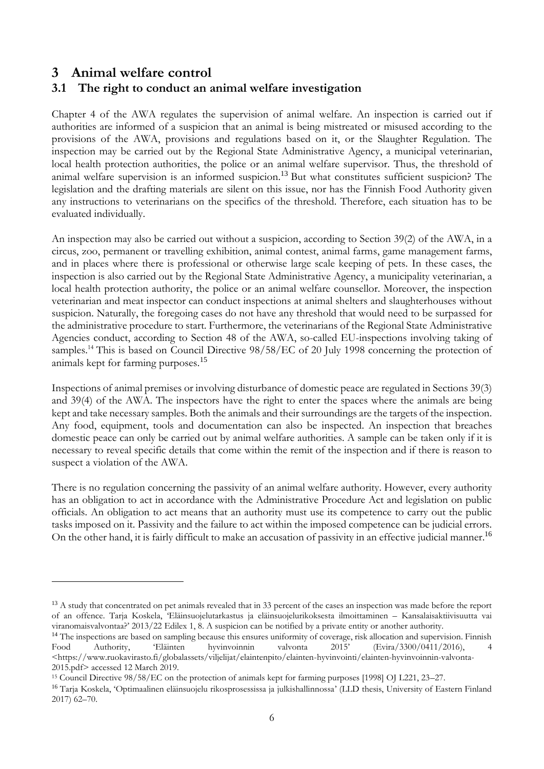# **3 Animal welfare control**

-

### **3.1 The right to conduct an animal welfare investigation**

Chapter 4 of the AWA regulates the supervision of animal welfare. An inspection is carried out if authorities are informed of a suspicion that an animal is being mistreated or misused according to the provisions of the AWA, provisions and regulations based on it, or the Slaughter Regulation. The inspection may be carried out by the Regional State Administrative Agency, a municipal veterinarian, local health protection authorities, the police or an animal welfare supervisor. Thus, the threshold of animal welfare supervision is an informed suspicion.<sup>13</sup> But what constitutes sufficient suspicion? The legislation and the drafting materials are silent on this issue, nor has the Finnish Food Authority given any instructions to veterinarians on the specifics of the threshold. Therefore, each situation has to be evaluated individually.

An inspection may also be carried out without a suspicion, according to Section 39(2) of the AWA, in a circus, zoo, permanent or travelling exhibition, animal contest, animal farms, game management farms, and in places where there is professional or otherwise large scale keeping of pets. In these cases, the inspection is also carried out by the Regional State Administrative Agency, a municipality veterinarian, a local health protection authority, the police or an animal welfare counsellor. Moreover, the inspection veterinarian and meat inspector can conduct inspections at animal shelters and slaughterhouses without suspicion. Naturally, the foregoing cases do not have any threshold that would need to be surpassed for the administrative procedure to start. Furthermore, the veterinarians of the Regional State Administrative Agencies conduct, according to Section 48 of the AWA, so-called EU-inspections involving taking of samples.<sup>14</sup> This is based on Council Directive 98/58/EC of 20 July 1998 concerning the protection of animals kept for farming purposes.<sup>15</sup>

<span id="page-5-0"></span>Inspections of animal premises or involving disturbance of domestic peace are regulated in Sections 39(3) and 39(4) of the AWA. The inspectors have the right to enter the spaces where the animals are being kept and take necessary samples. Both the animals and their surroundings are the targets of the inspection. Any food, equipment, tools and documentation can also be inspected. An inspection that breaches domestic peace can only be carried out by animal welfare authorities. A sample can be taken only if it is necessary to reveal specific details that come within the remit of the inspection and if there is reason to suspect a violation of the AWA.

There is no regulation concerning the passivity of an animal welfare authority. However, every authority has an obligation to act in accordance with the Administrative Procedure Act and legislation on public officials. An obligation to act means that an authority must use its competence to carry out the public tasks imposed on it. Passivity and the failure to act within the imposed competence can be judicial errors. On the other hand, it is fairly difficult to make an accusation of passivity in an effective judicial manner.<sup>16</sup>

<sup>&</sup>lt;sup>13</sup> A study that concentrated on pet animals revealed that in 33 percent of the cases an inspection was made before the report of an offence. Tarja Koskela, 'Eläinsuojelutarkastus ja eläinsuojelurikoksesta ilmoittaminen – Kansalaisaktiivisuutta vai viranomaisvalvontaa?' 2013/22 Edilex 1, 8. A suspicion can be notified by a private entity or another authority.

<sup>&</sup>lt;sup>14</sup> The inspections are based on sampling because this ensures uniformity of coverage, risk allocation and supervision. Finnish Food Authority, 'Eläinten hyvinvoinnin valvonta 2015' (Evira/3300/0411/2016), 4 <https://www.ruokavirasto.fi/globalassets/viljelijat/elaintenpito/elainten-hyvinvointi/elainten-hyvinvoinnin-valvonta-2015.pdf> accessed 12 March 2019.

<sup>15</sup> Council Directive 98/58/EC on the protection of animals kept for farming purposes [1998] OJ L221, 23–27.

<sup>16</sup> Tarja Koskela, 'Optimaalinen eläinsuojelu rikosprosessissa ja julkishallinnossa' (LLD thesis, University of Eastern Finland 2017) 62–70.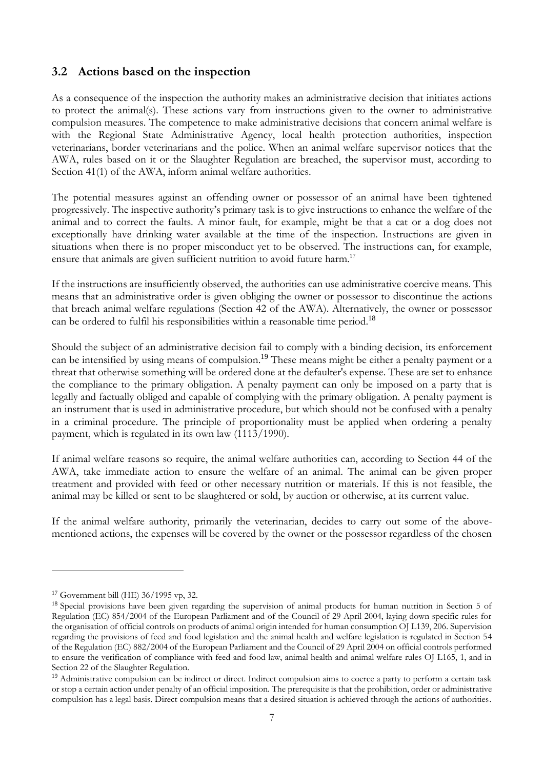### **3.2 Actions based on the inspection**

As a consequence of the inspection the authority makes an administrative decision that initiates actions to protect the animal(s). These actions vary from instructions given to the owner to administrative compulsion measures. The competence to make administrative decisions that concern animal welfare is with the Regional State Administrative Agency, local health protection authorities, inspection veterinarians, border veterinarians and the police. When an animal welfare supervisor notices that the AWA, rules based on it or the Slaughter Regulation are breached, the supervisor must, according to Section 41(1) of the AWA, inform animal welfare authorities.

The potential measures against an offending owner or possessor of an animal have been tightened progressively. The inspective authority's primary task is to give instructions to enhance the welfare of the animal and to correct the faults. A minor fault, for example, might be that a cat or a dog does not exceptionally have drinking water available at the time of the inspection. Instructions are given in situations when there is no proper misconduct yet to be observed. The instructions can, for example, ensure that animals are given sufficient nutrition to avoid future harm.<sup>17</sup>

If the instructions are insufficiently observed, the authorities can use administrative coercive means. This means that an administrative order is given obliging the owner or possessor to discontinue the actions that breach animal welfare regulations (Section 42 of the AWA). Alternatively, the owner or possessor can be ordered to fulfil his responsibilities within a reasonable time period.<sup>18</sup>

Should the subject of an administrative decision fail to comply with a binding decision, its enforcement can be intensified by using means of compulsion.<sup>19</sup> These means might be either a penalty payment or a threat that otherwise something will be ordered done at the defaulter's expense. These are set to enhance the compliance to the primary obligation. A penalty payment can only be imposed on a party that is legally and factually obliged and capable of complying with the primary obligation. A penalty payment is an instrument that is used in administrative procedure, but which should not be confused with a penalty in a criminal procedure. The principle of proportionality must be applied when ordering a penalty payment, which is regulated in its own law (1113/1990).

If animal welfare reasons so require, the animal welfare authorities can, according to Section 44 of the AWA, take immediate action to ensure the welfare of an animal. The animal can be given proper treatment and provided with feed or other necessary nutrition or materials. If this is not feasible, the animal may be killed or sent to be slaughtered or sold, by auction or otherwise, at its current value.

If the animal welfare authority, primarily the veterinarian, decides to carry out some of the abovementioned actions, the expenses will be covered by the owner or the possessor regardless of the chosen

<sup>17</sup> Government bill (HE) 36/1995 vp, 32.

<sup>&</sup>lt;sup>18</sup> Special provisions have been given regarding the supervision of animal products for human nutrition in Section 5 of Regulation (EC) 854/2004 of the European Parliament and of the Council of 29 April 2004, laying down specific rules for the organisation of official controls on products of animal origin intended for human consumption OJ L139, 206. Supervision regarding the provisions of feed and food legislation and the animal health and welfare legislation is regulated in Section 54 of the Regulation (EC) 882/2004 of the European Parliament and the Council of 29 April 2004 on official controls performed to ensure the verification of compliance with feed and food law, animal health and animal welfare rules OJ L165, 1, and in Section 22 of the Slaughter Regulation.

<sup>&</sup>lt;sup>19</sup> Administrative compulsion can be indirect or direct. Indirect compulsion aims to coerce a party to perform a certain task or stop a certain action under penalty of an official imposition. The prerequisite is that the prohibition, order or administrative compulsion has a legal basis. Direct compulsion means that a desired situation is achieved through the actions of authorities.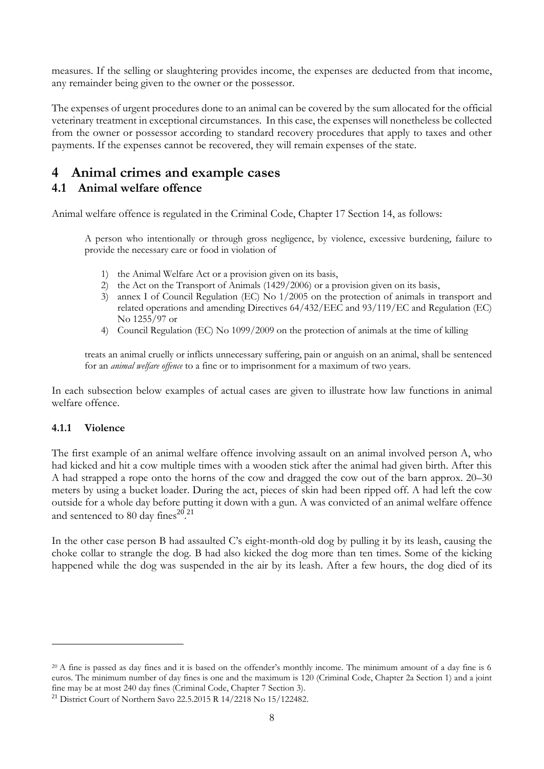measures. If the selling or slaughtering provides income, the expenses are deducted from that income, any remainder being given to the owner or the possessor.

The expenses of urgent procedures done to an animal can be covered by the sum allocated for the official veterinary treatment in exceptional circumstances. In this case, the expenses will nonetheless be collected from the owner or possessor according to standard recovery procedures that apply to taxes and other payments. If the expenses cannot be recovered, they will remain expenses of the state.

# **4 Animal crimes and example cases**

### **4.1 Animal welfare offence**

Animal welfare offence is regulated in the Criminal Code, Chapter 17 Section 14, as follows:

A person who intentionally or through gross negligence, by violence, excessive burdening, failure to provide the necessary care or food in violation of

- 1) the Animal Welfare Act or a provision given on its basis,
- 2) the Act on the Transport of Animals (1429/2006) or a provision given on its basis,
- 3) annex I of Council Regulation (EC) No 1/2005 on the protection of animals in transport and related operations and amending Directives 64/432/EEC and 93/119/EC and Regulation (EC) No 1255/97 or
- 4) Council Regulation (EC) No 1099/2009 on the protection of animals at the time of killing

treats an animal cruelly or inflicts unnecessary suffering, pain or anguish on an animal, shall be sentenced for an *animal welfare offence* to a fine or to imprisonment for a maximum of two years.

In each subsection below examples of actual cases are given to illustrate how law functions in animal welfare offence.

#### **4.1.1 Violence**

<u>.</u>

The first example of an animal welfare offence involving assault on an animal involved person A, who had kicked and hit a cow multiple times with a wooden stick after the animal had given birth. After this A had strapped a rope onto the horns of the cow and dragged the cow out of the barn approx. 20–30 meters by using a bucket loader. During the act, pieces of skin had been ripped off. A had left the cow outside for a whole day before putting it down with a gun. A was convicted of an animal welfare offence and sentenced to 80 day fines $^{20,21}$ 

In the other case person B had assaulted C's eight-month-old dog by pulling it by its leash, causing the choke collar to strangle the dog. B had also kicked the dog more than ten times. Some of the kicking happened while the dog was suspended in the air by its leash. After a few hours, the dog died of its

<sup>&</sup>lt;sup>20</sup> A fine is passed as day fines and it is based on the offender's monthly income. The minimum amount of a day fine is 6 euros. The minimum number of day fines is one and the maximum is 120 (Criminal Code, Chapter 2a Section 1) and a joint fine may be at most 240 day fines (Criminal Code, Chapter 7 Section 3).

<sup>21</sup> District Court of Northern Savo 22.5.2015 R 14/2218 No 15/122482.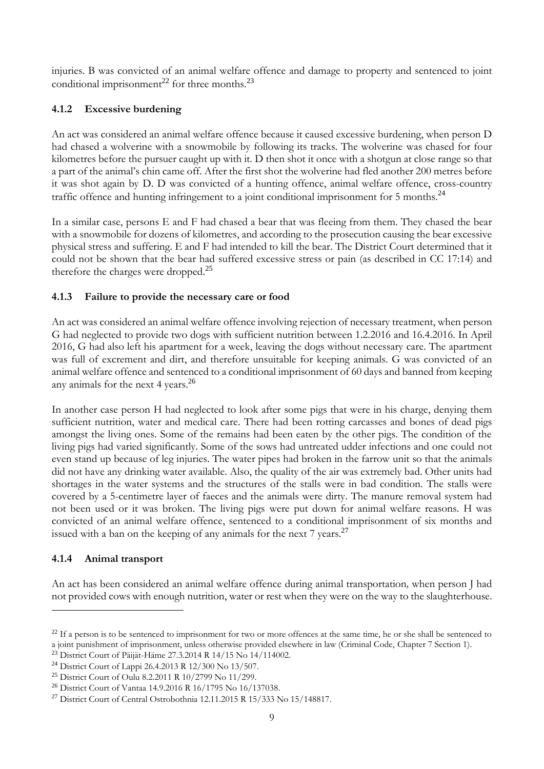injuries. B was convicted of an animal welfare offence and damage to property and sentenced to joint conditional imprisonment<sup>22</sup> for three months.<sup>23</sup>

### **4.1.2 Excessive burdening**

An act was considered an animal welfare offence because it caused excessive burdening, when person D had chased a wolverine with a snowmobile by following its tracks. The wolverine was chased for four kilometres before the pursuer caught up with it. D then shot it once with a shotgun at close range so that a part of the animal's chin came off. After the first shot the wolverine had fled another 200 metres before it was shot again by D. D was convicted of a hunting offence, animal welfare offence, cross-country traffic offence and hunting infringement to a joint conditional imprisonment for  $5$  months.<sup>24</sup>

In a similar case, persons E and F had chased a bear that was fleeing from them. They chased the bear with a snowmobile for dozens of kilometres, and according to the prosecution causing the bear excessive physical stress and suffering. E and F had intended to kill the bear. The District Court determined that it could not be shown that the bear had suffered excessive stress or pain (as described in CC 17:14) and therefore the charges were dropped.<sup>25</sup>

### **4.1.3 Failure to provide the necessary care or food**

An act was considered an animal welfare offence involving rejection of necessary treatment, when person G had neglected to provide two dogs with sufficient nutrition between 1.2.2016 and 16.4.2016. In April 2016, G had also left his apartment for a week, leaving the dogs without necessary care. The apartment was full of excrement and dirt, and therefore unsuitable for keeping animals. G was convicted of an animal welfare offence and sentenced to a conditional imprisonment of 60 days and banned from keeping any animals for the next 4 years.<sup>26</sup>

In another case person H had neglected to look after some pigs that were in his charge, denying them sufficient nutrition, water and medical care. There had been rotting carcasses and bones of dead pigs amongst the living ones. Some of the remains had been eaten by the other pigs. The condition of the living pigs had varied significantly. Some of the sows had untreated udder infections and one could not even stand up because of leg injuries. The water pipes had broken in the farrow unit so that the animals did not have any drinking water available. Also, the quality of the air was extremely bad. Other units had shortages in the water systems and the structures of the stalls were in bad condition. The stalls were covered by a 5-centimetre layer of faeces and the animals were dirty. The manure removal system had not been used or it was broken. The living pigs were put down for animal welfare reasons. H was convicted of an animal welfare offence, sentenced to a conditional imprisonment of six months and issued with a ban on the keeping of any animals for the next  $7$  years.<sup>27</sup>

### **4.1.4 Animal transport**

-

An act has been considered an animal welfare offence during animal transportation*,* when person J had not provided cows with enough nutrition, water or rest when they were on the way to the slaughterhouse.

<sup>&</sup>lt;sup>22</sup> If a person is to be sentenced to imprisonment for two or more offences at the same time, he or she shall be sentenced to a joint punishment of imprisonment, unless otherwise provided elsewhere in law (Criminal Code, Chapter 7 Section 1).

<sup>23</sup> District Court of Päijät-Häme 27.3.2014 R 14/15 No 14/114002.

<sup>24</sup> District Court of Lappi 26.4.2013 R 12/300 No 13/507.

<sup>25</sup> District Court of Oulu 8.2.2011 R 10/2799 No 11/299.

<sup>26</sup> District Court of Vantaa 14.9.2016 R 16/1795 No 16/137038.

<sup>27</sup> District Court of Central Ostrobothnia 12.11.2015 R 15/333 No 15/148817.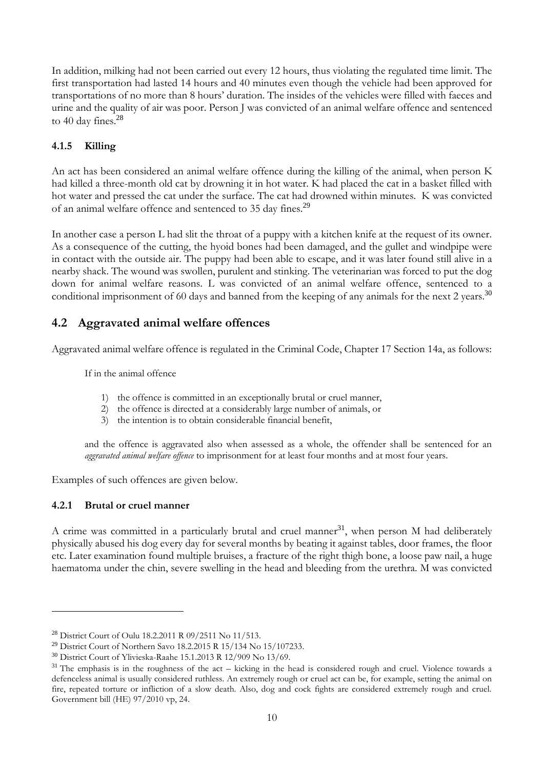In addition, milking had not been carried out every 12 hours, thus violating the regulated time limit. The first transportation had lasted 14 hours and 40 minutes even though the vehicle had been approved for transportations of no more than 8 hours' duration. The insides of the vehicles were filled with faeces and urine and the quality of air was poor. Person J was convicted of an animal welfare offence and sentenced to 40 day fines.<sup>28</sup>

### **4.1.5 Killing**

An act has been considered an animal welfare offence during the killing of the animal, when person K had killed a three-month old cat by drowning it in hot water. K had placed the cat in a basket filled with hot water and pressed the cat under the surface. The cat had drowned within minutes. K was convicted of an animal welfare offence and sentenced to 35 day fines.<sup>29</sup>

In another case a person L had slit the throat of a puppy with a kitchen knife at the request of its owner. As a consequence of the cutting, the hyoid bones had been damaged, and the gullet and windpipe were in contact with the outside air. The puppy had been able to escape, and it was later found still alive in a nearby shack. The wound was swollen, purulent and stinking. The veterinarian was forced to put the dog down for animal welfare reasons. L was convicted of an animal welfare offence, sentenced to a conditional imprisonment of 60 days and banned from the keeping of any animals for the next 2 years.<sup>30</sup>

### **4.2 Aggravated animal welfare offences**

Aggravated animal welfare offence is regulated in the Criminal Code, Chapter 17 Section 14a, as follows:

If in the animal offence

- 1) the offence is committed in an exceptionally brutal or cruel manner,
- 2) the offence is directed at a considerably large number of animals, or
- 3) the intention is to obtain considerable financial benefit,

and the offence is aggravated also when assessed as a whole, the offender shall be sentenced for an *aggravated animal welfare offence* to imprisonment for at least four months and at most four years.

Examples of such offences are given below.

#### **4.2.1 Brutal or cruel manner**

-

A crime was committed in a particularly brutal and cruel manner<sup>31</sup>, when person M had deliberately physically abused his dog every day for several months by beating it against tables, door frames, the floor etc. Later examination found multiple bruises, a fracture of the right thigh bone, a loose paw nail, a huge haematoma under the chin, severe swelling in the head and bleeding from the urethra. M was convicted

<sup>28</sup> District Court of Oulu 18.2.2011 R 09/2511 No 11/513.

<sup>29</sup> District Court of Northern Savo 18.2.2015 R 15/134 No 15/107233.

<sup>30</sup> District Court of Ylivieska-Raahe 15.1.2013 R 12/909 No 13/69.

<sup>&</sup>lt;sup>31</sup> The emphasis is in the roughness of the act – kicking in the head is considered rough and cruel. Violence towards a defenceless animal is usually considered ruthless. An extremely rough or cruel act can be, for example, setting the animal on fire, repeated torture or infliction of a slow death. Also, dog and cock fights are considered extremely rough and cruel. Government bill (HE) 97/2010 vp, 24.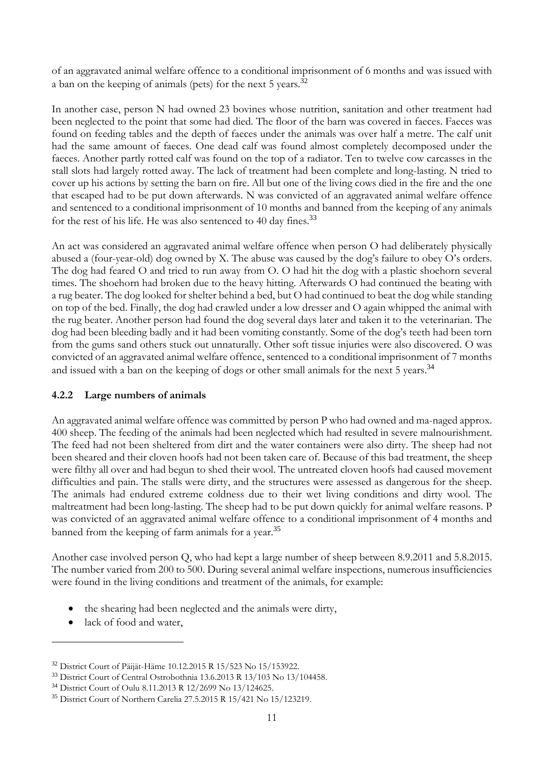of an aggravated animal welfare offence to a conditional imprisonment of 6 months and was issued with a ban on the keeping of animals (pets) for the next 5 years.<sup>32</sup>

In another case, person N had owned 23 bovines whose nutrition, sanitation and other treatment had been neglected to the point that some had died. The floor of the barn was covered in faeces. Faeces was found on feeding tables and the depth of faeces under the animals was over half a metre. The calf unit had the same amount of faeces. One dead calf was found almost completely decomposed under the faeces. Another partly rotted calf was found on the top of a radiator. Ten to twelve cow carcasses in the stall slots had largely rotted away. The lack of treatment had been complete and long-lasting. N tried to cover up his actions by setting the barn on fire. All but one of the living cows died in the fire and the one that escaped had to be put down afterwards. N was convicted of an aggravated animal welfare offence and sentenced to a conditional imprisonment of 10 months and banned from the keeping of any animals for the rest of his life. He was also sentenced to 40 day fines.<sup>33</sup>

An act was considered an aggravated animal welfare offence when person O had deliberately physically abused a (four-year-old) dog owned by X. The abuse was caused by the dog's failure to obey O's orders. The dog had feared O and tried to run away from O. O had hit the dog with a plastic shoehorn several times. The shoehorn had broken due to the heavy hitting. Afterwards O had continued the beating with a rug beater. The dog looked for shelter behind a bed, but O had continued to beat the dog while standing on top of the bed. Finally, the dog had crawled under a low dresser and O again whipped the animal with the rug beater. Another person had found the dog several days later and taken it to the veterinarian. The dog had been bleeding badly and it had been vomiting constantly. Some of the dog's teeth had been torn from the gums sand others stuck out unnaturally. Other soft tissue injuries were also discovered. O was convicted of an aggravated animal welfare offence, sentenced to a conditional imprisonment of 7 months and issued with a ban on the keeping of dogs or other small animals for the next 5 years.<sup>34</sup>

#### **4.2.2 Large numbers of animals**

An aggravated animal welfare offence was committed by person P who had owned and ma-naged approx. 400 sheep. The feeding of the animals had been neglected which had resulted in severe malnourishment. The feed had not been sheltered from dirt and the water containers were also dirty. The sheep had not been sheared and their cloven hoofs had not been taken care of. Because of this bad treatment, the sheep were filthy all over and had begun to shed their wool. The untreated cloven hoofs had caused movement difficulties and pain. The stalls were dirty, and the structures were assessed as dangerous for the sheep. The animals had endured extreme coldness due to their wet living conditions and dirty wool. The maltreatment had been long-lasting. The sheep had to be put down quickly for animal welfare reasons. P was convicted of an aggravated animal welfare offence to a conditional imprisonment of 4 months and banned from the keeping of farm animals for a year.<sup>35</sup>

Another case involved person Q, who had kept a large number of sheep between 8.9.2011 and 5.8.2015. The number varied from 200 to 500. During several animal welfare inspections, numerous insufficiencies were found in the living conditions and treatment of the animals, for example:

- the shearing had been neglected and the animals were dirty,
- lack of food and water,

<sup>32</sup> District Court of Päijät-Häme 10.12.2015 R 15/523 No 15/153922.

<sup>&</sup>lt;sup>33</sup> District Court of Central Ostrobothnia 13.6.2013 R 13/103 No 13/104458.

<sup>34</sup> District Court of Oulu 8.11.2013 R 12/2699 No 13/124625.

<sup>35</sup> District Court of Northern Carelia 27.5.2015 R 15/421 No 15/123219.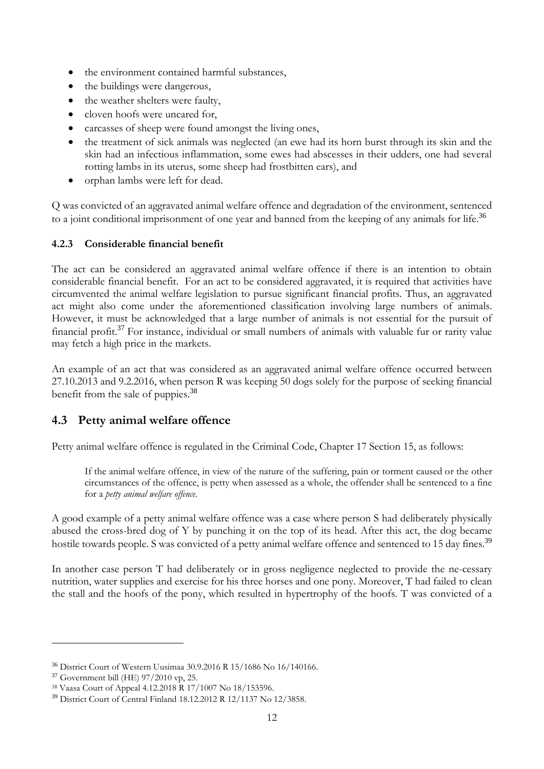- the environment contained harmful substances,
- the buildings were dangerous,
- the weather shelters were faulty.
- cloven hoofs were uncared for,
- carcasses of sheep were found amongst the living ones,
- the treatment of sick animals was neglected (an ewe had its horn burst through its skin and the skin had an infectious inflammation, some ewes had abscesses in their udders, one had several rotting lambs in its uterus, some sheep had frostbitten ears), and
- orphan lambs were left for dead.

Q was convicted of an aggravated animal welfare offence and degradation of the environment, sentenced to a joint conditional imprisonment of one year and banned from the keeping of any animals for life.<sup>36</sup>

#### **4.2.3 Considerable financial benefit**

The act can be considered an aggravated animal welfare offence if there is an intention to obtain considerable financial benefit. For an act to be considered aggravated, it is required that activities have circumvented the animal welfare legislation to pursue significant financial profits. Thus, an aggravated act might also come under the aforementioned classification involving large numbers of animals. However, it must be acknowledged that a large number of animals is not essential for the pursuit of financial profit.<sup>37</sup> For instance, individual or small numbers of animals with valuable fur or rarity value may fetch a high price in the markets.

An example of an act that was considered as an aggravated animal welfare offence occurred between 27.10.2013 and 9.2.2016, when person R was keeping 50 dogs solely for the purpose of seeking financial benefit from the sale of puppies.<sup>38</sup>

### **4.3 Petty animal welfare offence**

Petty animal welfare offence is regulated in the Criminal Code, Chapter 17 Section 15, as follows:

If the animal welfare offence, in view of the nature of the suffering, pain or torment caused or the other circumstances of the offence, is petty when assessed as a whole, the offender shall be sentenced to a fine for a *petty animal welfare offence*.

A good example of a petty animal welfare offence was a case where person S had deliberately physically abused the cross-bred dog of Y by punching it on the top of its head. After this act, the dog became hostile towards people. S was convicted of a petty animal welfare offence and sentenced to 15 day fines.<sup>39</sup>

In another case person T had deliberately or in gross negligence neglected to provide the ne-cessary nutrition, water supplies and exercise for his three horses and one pony. Moreover, T had failed to clean the stall and the hoofs of the pony, which resulted in hypertrophy of the hoofs. T was convicted of a

1

<sup>36</sup> District Court of Western Uusimaa 30.9.2016 R 15/1686 No 16/140166.

<sup>37</sup> Government bill (HE) 97/2010 vp, 25.

<sup>38</sup> Vaasa Court of Appeal 4.12.2018 R 17/1007 No 18/153596.

<sup>39</sup> District Court of Central Finland 18.12.2012 R 12/1137 No 12/3858.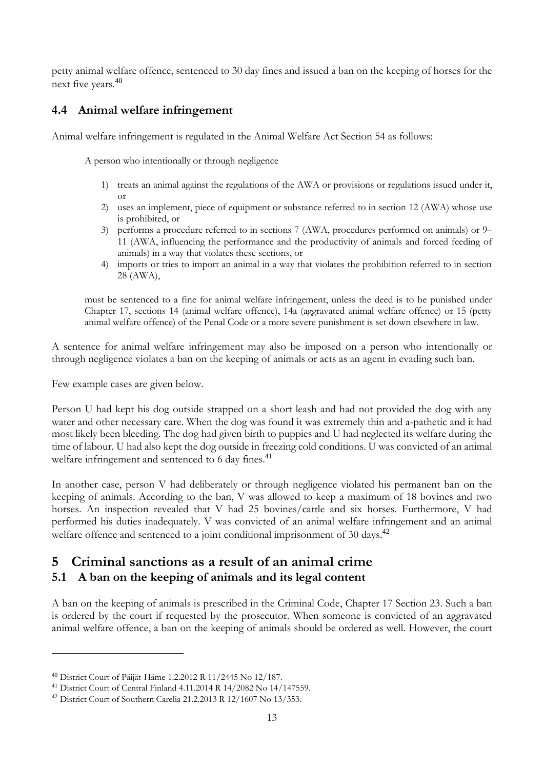petty animal welfare offence, sentenced to 30 day fines and issued a ban on the keeping of horses for the next five years. 40

# **4.4 Animal welfare infringement**

Animal welfare infringement is regulated in the Animal Welfare Act Section 54 as follows:

A person who intentionally or through negligence

- 1) treats an animal against the regulations of the AWA or provisions or regulations issued under it, or
- 2) uses an implement, piece of equipment or substance referred to in section 12 (AWA) whose use is prohibited, or
- 3) performs a procedure referred to in sections 7 (AWA, procedures performed on animals) or 9– 11 (AWA, influencing the performance and the productivity of animals and forced feeding of animals) in a way that violates these sections, or
- 4) imports or tries to import an animal in a way that violates the prohibition referred to in section 28 (AWA),

must be sentenced to a fine for animal welfare infringement, unless the deed is to be punished under Chapter 17, sections 14 (animal welfare offence), 14a (aggravated animal welfare offence) or 15 (petty animal welfare offence) of the Penal Code or a more severe punishment is set down elsewhere in law.

A sentence for animal welfare infringement may also be imposed on a person who intentionally or through negligence violates a ban on the keeping of animals or acts as an agent in evading such ban.

Few example cases are given below.

Person U had kept his dog outside strapped on a short leash and had not provided the dog with any water and other necessary care. When the dog was found it was extremely thin and a-pathetic and it had most likely been bleeding. The dog had given birth to puppies and U had neglected its welfare during the time of labour. U had also kept the dog outside in freezing cold conditions. U was convicted of an animal welfare infringement and sentenced to 6 day fines.<sup>41</sup>

In another case, person V had deliberately or through negligence violated his permanent ban on the keeping of animals. According to the ban, V was allowed to keep a maximum of 18 bovines and two horses. An inspection revealed that V had 25 bovines/cattle and six horses. Furthermore, V had performed his duties inadequately. V was convicted of an animal welfare infringement and an animal welfare offence and sentenced to a joint conditional imprisonment of 30 days.<sup>42</sup>

# **5 Criminal sanctions as a result of an animal crime 5.1 A ban on the keeping of animals and its legal content**

A ban on the keeping of animals is prescribed in the Criminal Code, Chapter 17 Section 23. Such a ban is ordered by the court if requested by the prosecutor. When someone is convicted of an aggravated animal welfare offence, a ban on the keeping of animals should be ordered as well. However, the court

<sup>40</sup> District Court of Päijät-Häme 1.2.2012 R 11/2445 No 12/187.

<sup>41</sup> District Court of Central Finland 4.11.2014 R 14/2082 No 14/147559.

<sup>42</sup> District Court of Southern Carelia 21.2.2013 R 12/1607 No 13/353.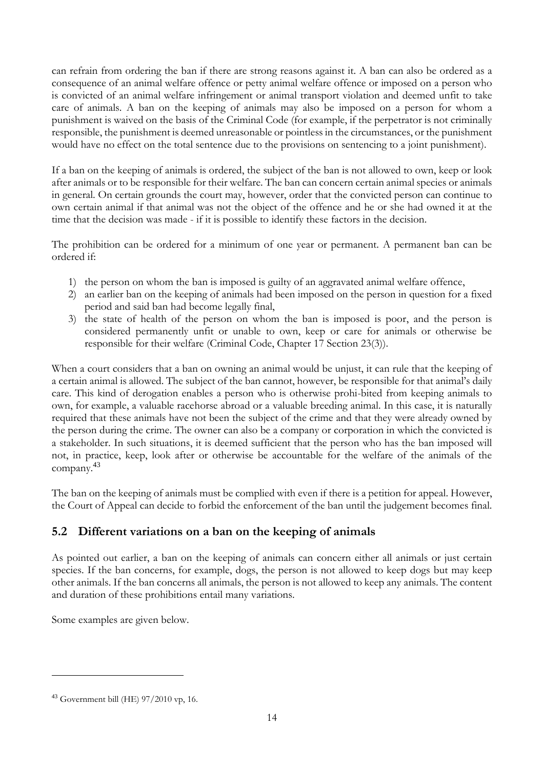can refrain from ordering the ban if there are strong reasons against it. A ban can also be ordered as a consequence of an animal welfare offence or petty animal welfare offence or imposed on a person who is convicted of an animal welfare infringement or animal transport violation and deemed unfit to take care of animals. A ban on the keeping of animals may also be imposed on a person for whom a punishment is waived on the basis of the Criminal Code (for example, if the perpetrator is not criminally responsible, the punishment is deemed unreasonable or pointless in the circumstances, or the punishment would have no effect on the total sentence due to the provisions on sentencing to a joint punishment).

If a ban on the keeping of animals is ordered, the subject of the ban is not allowed to own, keep or look after animals or to be responsible for their welfare. The ban can concern certain animal species or animals in general. On certain grounds the court may, however, order that the convicted person can continue to own certain animal if that animal was not the object of the offence and he or she had owned it at the time that the decision was made - if it is possible to identify these factors in the decision.

The prohibition can be ordered for a minimum of one year or permanent. A permanent ban can be ordered if:

- 1) the person on whom the ban is imposed is guilty of an aggravated animal welfare offence,
- 2) an earlier ban on the keeping of animals had been imposed on the person in question for a fixed period and said ban had become legally final,
- 3) the state of health of the person on whom the ban is imposed is poor, and the person is considered permanently unfit or unable to own, keep or care for animals or otherwise be responsible for their welfare (Criminal Code, Chapter 17 Section 23(3)).

When a court considers that a ban on owning an animal would be unjust, it can rule that the keeping of a certain animal is allowed. The subject of the ban cannot, however, be responsible for that animal's daily care. This kind of derogation enables a person who is otherwise prohi-bited from keeping animals to own, for example, a valuable racehorse abroad or a valuable breeding animal. In this case, it is naturally required that these animals have not been the subject of the crime and that they were already owned by the person during the crime. The owner can also be a company or corporation in which the convicted is a stakeholder. In such situations, it is deemed sufficient that the person who has the ban imposed will not, in practice, keep, look after or otherwise be accountable for the welfare of the animals of the company.<sup>43</sup>

The ban on the keeping of animals must be complied with even if there is a petition for appeal. However, the Court of Appeal can decide to forbid the enforcement of the ban until the judgement becomes final.

# **5.2 Different variations on a ban on the keeping of animals**

As pointed out earlier, a ban on the keeping of animals can concern either all animals or just certain species. If the ban concerns, for example, dogs, the person is not allowed to keep dogs but may keep other animals. If the ban concerns all animals, the person is not allowed to keep any animals. The content and duration of these prohibitions entail many variations.

Some examples are given below.

<sup>43</sup> Government bill (HE) 97/2010 vp, 16.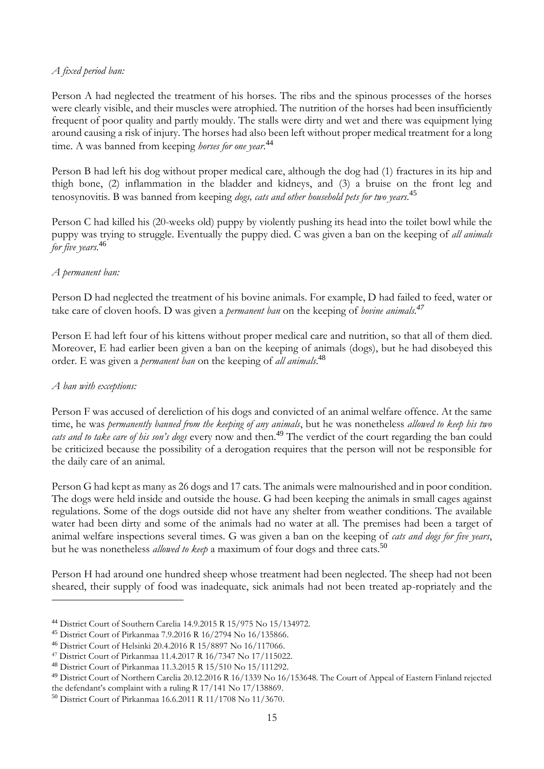#### *A fixed period ban:*

Person A had neglected the treatment of his horses. The ribs and the spinous processes of the horses were clearly visible, and their muscles were atrophied. The nutrition of the horses had been insufficiently frequent of poor quality and partly mouldy. The stalls were dirty and wet and there was equipment lying around causing a risk of injury. The horses had also been left without proper medical treatment for a long time. A was banned from keeping *horses for one year*. 44

Person B had left his dog without proper medical care, although the dog had (1) fractures in its hip and thigh bone, (2) inflammation in the bladder and kidneys, and (3) a bruise on the front leg and tenosynovitis. B was banned from keeping *dogs, cats and other household pets for two years.* 45

Person C had killed his (20-weeks old) puppy by violently pushing its head into the toilet bowl while the puppy was trying to struggle. Eventually the puppy died. C was given a ban on the keeping of *all animals for five years*. 46

#### *A permanent ban:*

Person D had neglected the treatment of his bovine animals. For example, D had failed to feed, water or take care of cloven hoofs. D was given a *permanent ban* on the keeping of *bovine animals. 47*

Person E had left four of his kittens without proper medical care and nutrition, so that all of them died. Moreover, E had earlier been given a ban on the keeping of animals (dogs), but he had disobeyed this order. E was given a *permanent ban* on the keeping of *all animals*. 48

#### *A ban with exceptions:*

-

Person F was accused of dereliction of his dogs and convicted of an animal welfare offence. At the same time, he was *permanently banned from the keeping of any animals*, but he was nonetheless *allowed to keep his two cats and to take care of his son's dogs* every now and then.<sup>49</sup> The verdict of the court regarding the ban could be criticized because the possibility of a derogation requires that the person will not be responsible for the daily care of an animal.

Person G had kept as many as 26 dogs and 17 cats. The animals were malnourished and in poor condition. The dogs were held inside and outside the house. G had been keeping the animals in small cages against regulations. Some of the dogs outside did not have any shelter from weather conditions. The available water had been dirty and some of the animals had no water at all. The premises had been a target of animal welfare inspections several times. G was given a ban on the keeping of *cats and dogs for five years*, but he was nonetheless *allowed to keep* a maximum of four dogs and three cats.<sup>50</sup>

Person H had around one hundred sheep whose treatment had been neglected. The sheep had not been sheared, their supply of food was inadequate, sick animals had not been treated ap-ropriately and the

<sup>44</sup> District Court of Southern Carelia 14.9.2015 R 15/975 No 15/134972.

<sup>45</sup> District Court of Pirkanmaa 7.9.2016 R 16/2794 No 16/135866.

<sup>46</sup> District Court of Helsinki 20.4.2016 R 15/8897 No 16/117066.

<sup>47</sup> District Court of Pirkanmaa 11.4.2017 R 16/7347 No 17/115022.

<sup>48</sup> District Court of Pirkanmaa 11.3.2015 R 15/510 No 15/111292.

<sup>49</sup> District Court of Northern Carelia 20.12.2016 R 16/1339 No 16/153648. The Court of Appeal of Eastern Finland rejected the defendant's complaint with a ruling R 17/141 No 17/138869.

<sup>50</sup> District Court of Pirkanmaa 16.6.2011 R 11/1708 No 11/3670.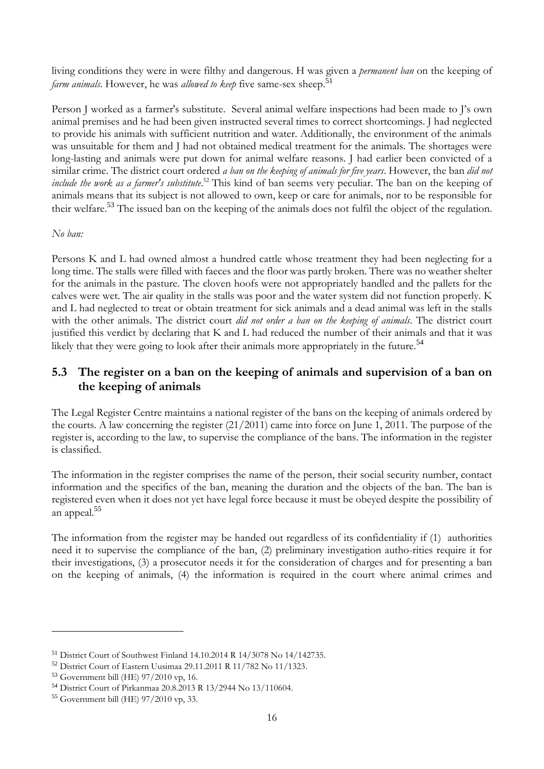living conditions they were in were filthy and dangerous. H was given a *permanent ban* on the keeping of *farm animals*. However, he was *allowed to keep* five same-sex sheep.<sup>51</sup>

Person J worked as a farmer's substitute. Several animal welfare inspections had been made to J's own animal premises and he had been given instructed several times to correct shortcomings. J had neglected to provide his animals with sufficient nutrition and water. Additionally, the environment of the animals was unsuitable for them and J had not obtained medical treatment for the animals. The shortages were long-lasting and animals were put down for animal welfare reasons. I had earlier been convicted of a similar crime. The district court ordered *a ban on the keeping of animals for five years*. However, the ban *did not include the work as a farmer's substitute*. <sup>52</sup> This kind of ban seems very peculiar. The ban on the keeping of animals means that its subject is not allowed to own, keep or care for animals, nor to be responsible for their welfare.<sup>53</sup> The issued ban on the keeping of the animals does not fulfil the object of the regulation.

#### *No ban:*

Persons K and L had owned almost a hundred cattle whose treatment they had been neglecting for a long time. The stalls were filled with faeces and the floor was partly broken. There was no weather shelter for the animals in the pasture. The cloven hoofs were not appropriately handled and the pallets for the calves were wet. The air quality in the stalls was poor and the water system did not function properly. K and L had neglected to treat or obtain treatment for sick animals and a dead animal was left in the stalls with the other animals. The district court *did not order a ban on the keeping of animals*. The district court justified this verdict by declaring that K and L had reduced the number of their animals and that it was likely that they were going to look after their animals more appropriately in the future.<sup>54</sup>

# **5.3 The register on a ban on the keeping of animals and supervision of a ban on the keeping of animals**

The Legal Register Centre maintains a national register of the bans on the keeping of animals ordered by the courts. A law concerning the register (21/2011) came into force on June 1, 2011. The purpose of the register is, according to the law, to supervise the compliance of the bans. The information in the register is classified.

The information in the register comprises the name of the person, their social security number, contact information and the specifics of the ban, meaning the duration and the objects of the ban. The ban is registered even when it does not yet have legal force because it must be obeyed despite the possibility of an appeal. 55

The information from the register may be handed out regardless of its confidentiality if (1) authorities need it to supervise the compliance of the ban, (2) preliminary investigation autho-rities require it for their investigations, (3) a prosecutor needs it for the consideration of charges and for presenting a ban on the keeping of animals, (4) the information is required in the court where animal crimes and

<sup>51</sup> District Court of Southwest Finland 14.10.2014 R 14/3078 No 14/142735.

<sup>52</sup> District Court of Eastern Uusimaa 29.11.2011 R 11/782 No 11/1323.

<sup>53</sup> Government bill (HE) 97/2010 vp, 16.

<sup>54</sup> District Court of Pirkanmaa 20.8.2013 R 13/2944 No 13/110604.

<sup>55</sup> Government bill (HE) 97/2010 vp, 33.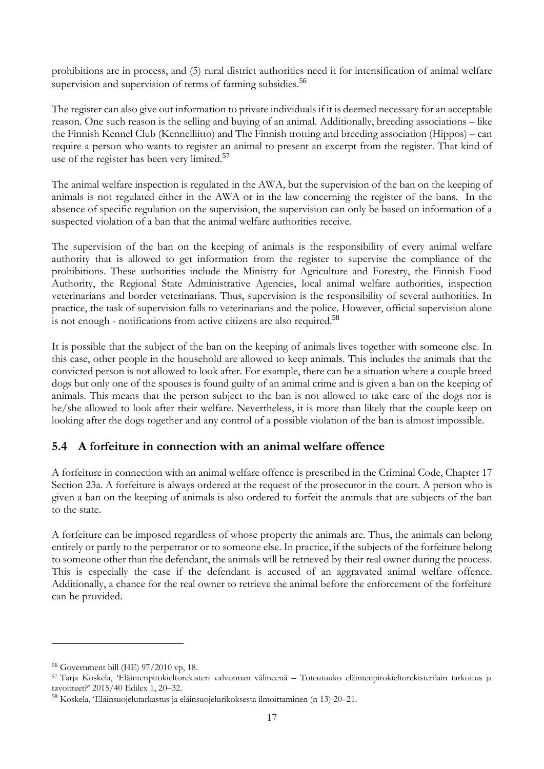prohibitions are in process, and (5) rural district authorities need it for intensification of animal welfare supervision and supervision of terms of farming subsidies.<sup>56</sup>

The register can also give out information to private individuals if it is deemed necessary for an acceptable reason. One such reason is the selling and buying of an animal. Additionally, breeding associations – like the Finnish Kennel Club (Kennelliitto) and The Finnish trotting and breeding association (Hippos) – can require a person who wants to register an animal to present an excerpt from the register. That kind of use of the register has been very limited.<sup>57</sup>

The animal welfare inspection is regulated in the AWA, but the supervision of the ban on the keeping of animals is not regulated either in the AWA or in the law concerning the register of the bans. In the absence of specific regulation on the supervision, the supervision can only be based on information of a suspected violation of a ban that the animal welfare authorities receive.

The supervision of the ban on the keeping of animals is the responsibility of every animal welfare authority that is allowed to get information from the register to supervise the compliance of the prohibitions. These authorities include the Ministry for Agriculture and Forestry, the Finnish Food Authority, the Regional State Administrative Agencies, local animal welfare authorities, inspection veterinarians and border veterinarians. Thus, supervision is the responsibility of several authorities. In practice, the task of supervision falls to veterinarians and the police. However, official supervision alone is not enough - notifications from active citizens are also required.<sup>58</sup>

It is possible that the subject of the ban on the keeping of animals lives together with someone else. In this case, other people in the household are allowed to keep animals. This includes the animals that the convicted person is not allowed to look after. For example, there can be a situation where a couple breed dogs but only one of the spouses is found guilty of an animal crime and is given a ban on the keeping of animals. This means that the person subject to the ban is not allowed to take care of the dogs nor is he/she allowed to look after their welfare. Nevertheless, it is more than likely that the couple keep on looking after the dogs together and any control of a possible violation of the ban is almost impossible.

# **5.4 A forfeiture in connection with an animal welfare offence**

A forfeiture in connection with an animal welfare offence is prescribed in the Criminal Code, Chapter 17 Section 23a. A forfeiture is always ordered at the request of the prosecutor in the court. A person who is given a ban on the keeping of animals is also ordered to forfeit the animals that are subjects of the ban to the state.

A forfeiture can be imposed regardless of whose property the animals are. Thus, the animals can belong entirely or partly to the perpetrator or to someone else. In practice, if the subjects of the forfeiture belong to someone other than the defendant, the animals will be retrieved by their real owner during the process. This is especially the case if the defendant is accused of an aggravated animal welfare offence. Additionally, a chance for the real owner to retrieve the animal before the enforcement of the forfeiture can be provided.

<u>.</u>

<sup>56</sup> Government bill (HE) 97/2010 vp, 18.

<sup>57</sup> Tarja Koskela, 'Eläintenpitokieltorekisteri valvonnan välineenä – Toteutuuko eläintenpitokieltorekisterilain tarkoitus ja tavoitteet?' 2015/40 Edilex 1, 20–32.

<sup>58</sup> Koskela, 'Eläinsuojelutarkastus ja eläinsuojelurikoksesta ilmoittaminen (n [13\)](#page-4-0) 20–21.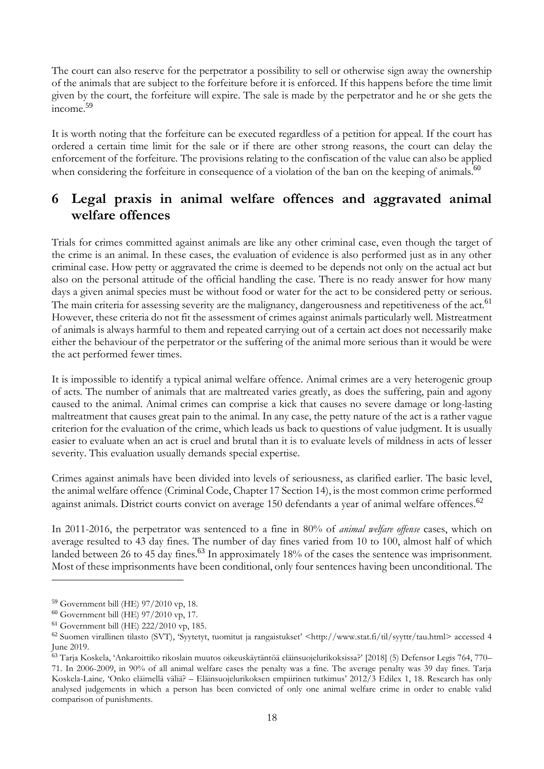The court can also reserve for the perpetrator a possibility to sell or otherwise sign away the ownership of the animals that are subject to the forfeiture before it is enforced. If this happens before the time limit given by the court, the forfeiture will expire. The sale is made by the perpetrator and he or she gets the income. 59

It is worth noting that the forfeiture can be executed regardless of a petition for appeal. If the court has ordered a certain time limit for the sale or if there are other strong reasons, the court can delay the enforcement of the forfeiture. The provisions relating to the confiscation of the value can also be applied when considering the forfeiture in consequence of a violation of the ban on the keeping of animals.<sup>60</sup>

# **6 Legal praxis in animal welfare offences and aggravated animal welfare offences**

Trials for crimes committed against animals are like any other criminal case, even though the target of the crime is an animal. In these cases, the evaluation of evidence is also performed just as in any other criminal case. How petty or aggravated the crime is deemed to be depends not only on the actual act but also on the personal attitude of the official handling the case. There is no ready answer for how many days a given animal species must be without food or water for the act to be considered petty or serious. The main criteria for assessing severity are the malignancy, dangerousness and repetitiveness of the act.<sup>61</sup> However, these criteria do not fit the assessment of crimes against animals particularly well. Mistreatment of animals is always harmful to them and repeated carrying out of a certain act does not necessarily make either the behaviour of the perpetrator or the suffering of the animal more serious than it would be were the act performed fewer times.

It is impossible to identify a typical animal welfare offence. Animal crimes are a very heterogenic group of acts. The number of animals that are maltreated varies greatly, as does the suffering, pain and agony caused to the animal. Animal crimes can comprise a kick that causes no severe damage or long-lasting maltreatment that causes great pain to the animal. In any case, the petty nature of the act is a rather vague criterion for the evaluation of the crime, which leads us back to questions of value judgment. It is usually easier to evaluate when an act is cruel and brutal than it is to evaluate levels of mildness in acts of lesser severity. This evaluation usually demands special expertise.

Crimes against animals have been divided into levels of seriousness, as clarified earlier. The basic level, the animal welfare offence (Criminal Code, Chapter 17 Section 14), is the most common crime performed against animals. District courts convict on average 150 defendants a year of animal welfare offences.<sup>62</sup>

<span id="page-17-0"></span>In 2011-2016, the perpetrator was sentenced to a fine in 80% of *animal welfare offense* cases, which on average resulted to 43 day fines. The number of day fines varied from 10 to 100, almost half of which landed between 26 to 45 day fines.<sup>63</sup> In approximately 18% of the cases the sentence was imprisonment. Most of these imprisonments have been conditional, only four sentences having been unconditional. The

<sup>59</sup> Government bill (HE) 97/2010 vp, 18.

<sup>60</sup> Government bill (HE) 97/2010 vp, 17.

<sup>61</sup> Government bill (HE) 222/2010 vp, 185.

<sup>62</sup> Suomen virallinen tilasto (SVT), 'Syytetyt, tuomitut ja rangaistukset' <http://www.stat.fi/til/syyttr/tau.html> accessed 4 June 2019.

<sup>63</sup> Tarja Koskela, 'Ankaroittiko rikoslain muutos oikeuskäytäntöä eläinsuojelurikoksissa?' [2018] (5) Defensor Legis 764, 770– 71. In 2006-2009, in 90% of all animal welfare cases the penalty was a fine. The average penalty was 39 day fines. Tarja Koskela-Laine*,* 'Onko eläimellä väliä? – Eläinsuojelurikoksen empiirinen tutkimus' 2012/3 Edilex 1, 18. Research has only analysed judgements in which a person has been convicted of only one animal welfare crime in order to enable valid comparison of punishments.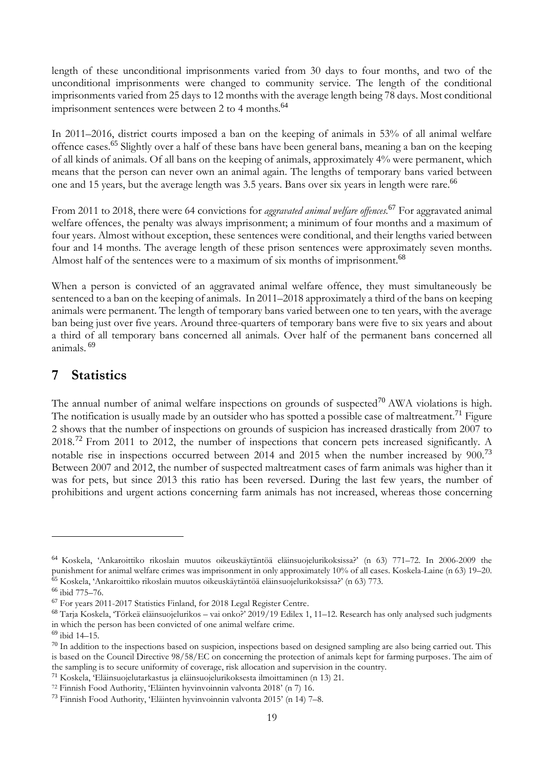length of these unconditional imprisonments varied from 30 days to four months, and two of the unconditional imprisonments were changed to community service. The length of the conditional imprisonments varied from 25 days to 12 months with the average length being 78 days. Most conditional imprisonment sentences were between 2 to 4 months.<sup>64</sup>

In 2011–2016, district courts imposed a ban on the keeping of animals in 53% of all animal welfare offence cases.<sup>65</sup> Slightly over a half of these bans have been general bans, meaning a ban on the keeping of all kinds of animals. Of all bans on the keeping of animals, approximately 4% were permanent, which means that the person can never own an animal again. The lengths of temporary bans varied between one and 15 years, but the average length was 3.5 years. Bans over six years in length were rare.<sup>66</sup>

From 2011 to 2018, there were 64 convictions for *aggravated animal welfare offences.*<sup>67</sup> For aggravated animal welfare offences, the penalty was always imprisonment; a minimum of four months and a maximum of four years. Almost without exception, these sentences were conditional, and their lengths varied between four and 14 months. The average length of these prison sentences were approximately seven months. Almost half of the sentences were to a maximum of six months of imprisonment.<sup>68</sup>

<span id="page-18-0"></span>When a person is convicted of an aggravated animal welfare offence, they must simultaneously be sentenced to a ban on the keeping of animals. In 2011–2018 approximately a third of the bans on keeping animals were permanent. The length of temporary bans varied between one to ten years, with the average ban being just over five years. Around three-quarters of temporary bans were five to six years and about a third of all temporary bans concerned all animals. Over half of the permanent bans concerned all animals. <sup>69</sup>

# **7 Statistics**

The annual number of animal welfare inspections on grounds of suspected<sup>70</sup> AWA violations is high. The notification is usually made by an outsider who has spotted a possible case of maltreatment.<sup>71</sup> Figure 2 shows that the number of inspections on grounds of suspicion has increased drastically from 2007 to 2018.<sup>72</sup> From 2011 to 2012, the number of inspections that concern pets increased significantly. A notable rise in inspections occurred between 2014 and 2015 when the number increased by 900.<sup>73</sup> Between 2007 and 2012, the number of suspected maltreatment cases of farm animals was higher than it was for pets, but since 2013 this ratio has been reversed. During the last few years, the number of prohibitions and urgent actions concerning farm animals has not increased, whereas those concerning

<sup>64</sup> Koskela, 'Ankaroittiko rikoslain muutos oikeuskäytäntöä eläinsuojelurikoksissa?' (n [63\)](#page-17-0) 771–72. In 2006-2009 the punishment for animal welfare crimes was imprisonment in only approximately 10% of all cases. Koskela-Laine (n [63\)](#page-17-0) 19–20. <sup>65</sup> Koskela, 'Ankaroittiko rikoslain muutos oikeuskäytäntöä eläinsuojelurikoksissa?' (n [63\)](#page-17-0) 773.

<sup>66</sup> ibid 775–76.

<sup>67</sup> For years 2011-2017 Statistics Finland, for 2018 Legal Register Centre.

<sup>68</sup> Tarja Koskela, 'Törkeä eläinsuojelurikos – vai onko?' 2019/19 Edilex 1, 11–12. Research has only analysed such judgments in which the person has been convicted of one animal welfare crime.

<sup>69</sup> ibid 14–15.

 $70$  In addition to the inspections based on suspicion, inspections based on designed sampling are also being carried out. This is based on the Council Directive 98/58/EC on concerning the protection of animals kept for farming purposes. The aim of the sampling is to secure uniformity of coverage, risk allocation and supervision in the country.

<sup>71</sup> Koskela, 'Eläinsuojelutarkastus ja eläinsuojelurikoksesta ilmoittaminen (n [13\)](#page-4-0) 21.

<sup>72</sup> Finnish Food Authority, 'Eläinten hyvinvoinnin valvonta 2018' (n [7\)](#page-2-0) 16.

<sup>73</sup> Finnish Food Authority, 'Eläinten hyvinvoinnin valvonta 2015' (n [14\)](#page-5-0) 7–8.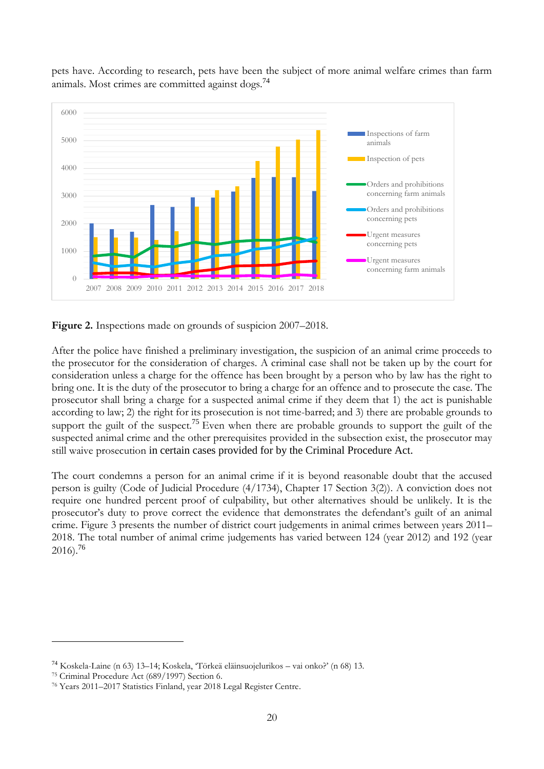

pets have. According to research, pets have been the subject of more animal welfare crimes than farm animals. Most crimes are committed against dogs.<sup>74</sup>

**Figure 2.** Inspections made on grounds of suspicion 2007–2018.

After the police have finished a preliminary investigation, the suspicion of an animal crime proceeds to the prosecutor for the consideration of charges. A criminal case shall not be taken up by the court for consideration unless a charge for the offence has been brought by a person who by law has the right to bring one. It is the duty of the prosecutor to bring a charge for an offence and to prosecute the case. The prosecutor shall bring a charge for a suspected animal crime if they deem that 1) the act is punishable according to law; 2) the right for its prosecution is not time-barred; and 3) there are probable grounds to support the guilt of the suspect.<sup>75</sup> Even when there are probable grounds to support the guilt of the suspected animal crime and the other prerequisites provided in the subsection exist, the prosecutor may still waive prosecution in certain cases provided for by the Criminal Procedure Act.

The court condemns a person for an animal crime if it is beyond reasonable doubt that the accused person is guilty (Code of Judicial Procedure (4/1734), Chapter 17 Section 3(2)). A conviction does not require one hundred percent proof of culpability, but other alternatives should be unlikely. It is the prosecutor's duty to prove correct the evidence that demonstrates the defendant's guilt of an animal crime. Figure 3 presents the number of district court judgements in animal crimes between years 2011– 2018. The total number of animal crime judgements has varied between 124 (year 2012) and 192 (year  $2016$ ).<sup>76</sup>

<sup>74</sup> Koskela-Laine (n [63\)](#page-17-0) 13–14; Koskela, 'Törkeä eläinsuojelurikos – vai onko?' ([n 68\)](#page-18-0) 13.

<sup>75</sup> Criminal Procedure Act (689/1997) Section 6.

<sup>76</sup> Years 2011–2017 Statistics Finland, year 2018 Legal Register Centre.